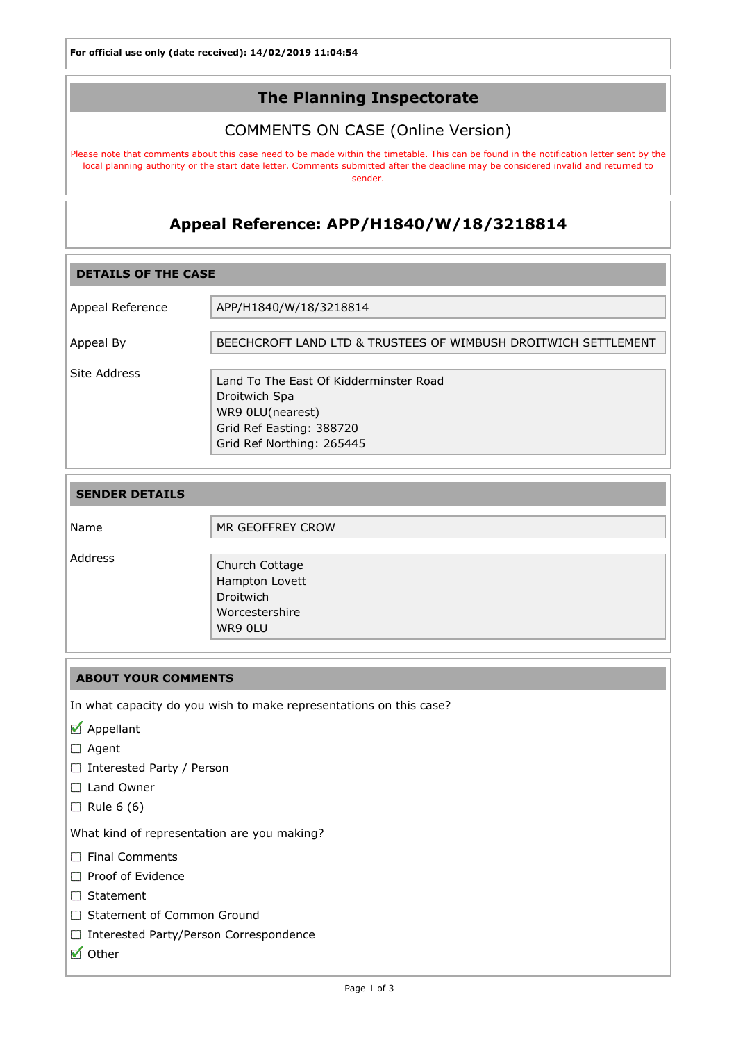## The Planning Inspectorate

## COMMENTS ON CASE (Online Version)

Please note that comments about this case need to be made within the timetable. This can be found in the notification letter sent by the local planning authority or the start date letter. Comments submitted after the deadline may be considered invalid and returned to sender.

# Appeal Reference: APP/H1840/W/18/3218814

| <b>DETAILS OF THE CASE</b> |                                                                                                                                      |  |
|----------------------------|--------------------------------------------------------------------------------------------------------------------------------------|--|
| Appeal Reference           | APP/H1840/W/18/3218814                                                                                                               |  |
| Appeal By                  | BEECHCROFT LAND LTD & TRUSTEES OF WIMBUSH DROITWICH SETTLEMENT                                                                       |  |
| Site Address               | Land To The East Of Kidderminster Road<br>Droitwich Spa<br>WR9 0LU(nearest)<br>Grid Ref Easting: 388720<br>Grid Ref Northing: 265445 |  |

| <b>SENDER DETAILS</b> |                                                                            |
|-----------------------|----------------------------------------------------------------------------|
| Name                  | MR GEOFFREY CROW                                                           |
| Address               | Church Cottage<br>Hampton Lovett<br>Droitwich<br>Worcestershire<br>WR9 OLU |

#### ABOUT YOUR COMMENTS

In what capacity do you wish to make representations on this case?

- Appellant
- □ Agent
- □ Interested Party / Person
- □ Land Owner
- $\Box$  Rule 6 (6)

What kind of representation are you making?

- Final Comments
- Proof of Evidence
- □ Statement
- □ Statement of Common Ground
- □ Interested Party/Person Correspondence
- Other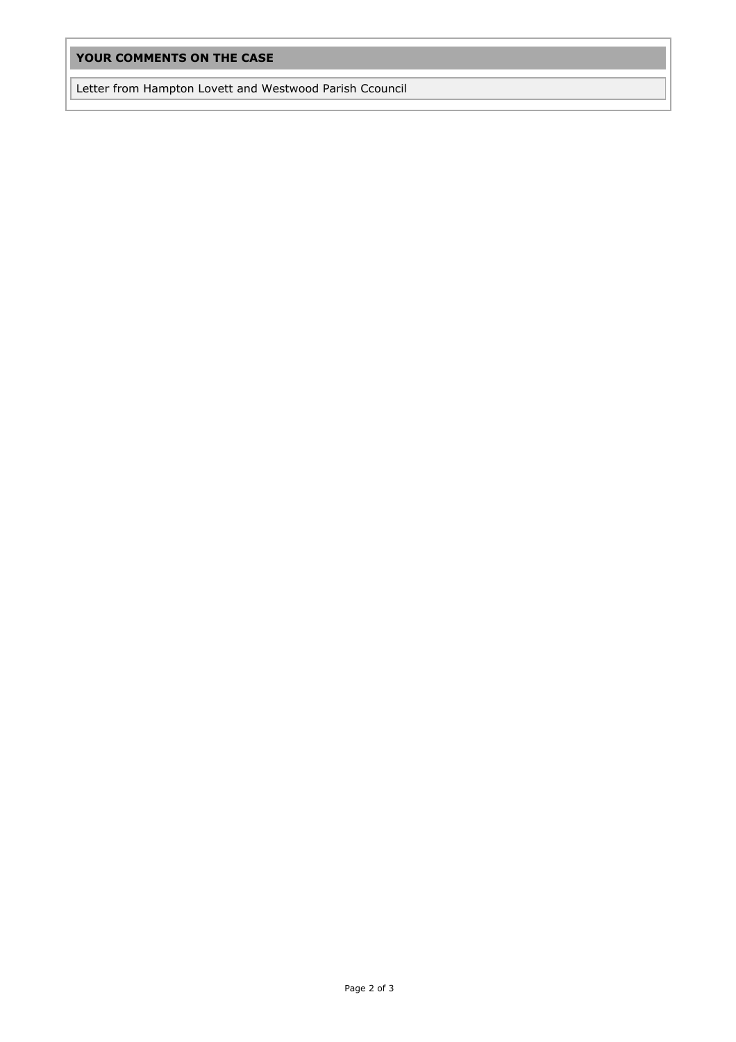## YOUR COMMENTS ON THE CASE

Letter from Hampton Lovett and Westwood Parish Ccouncil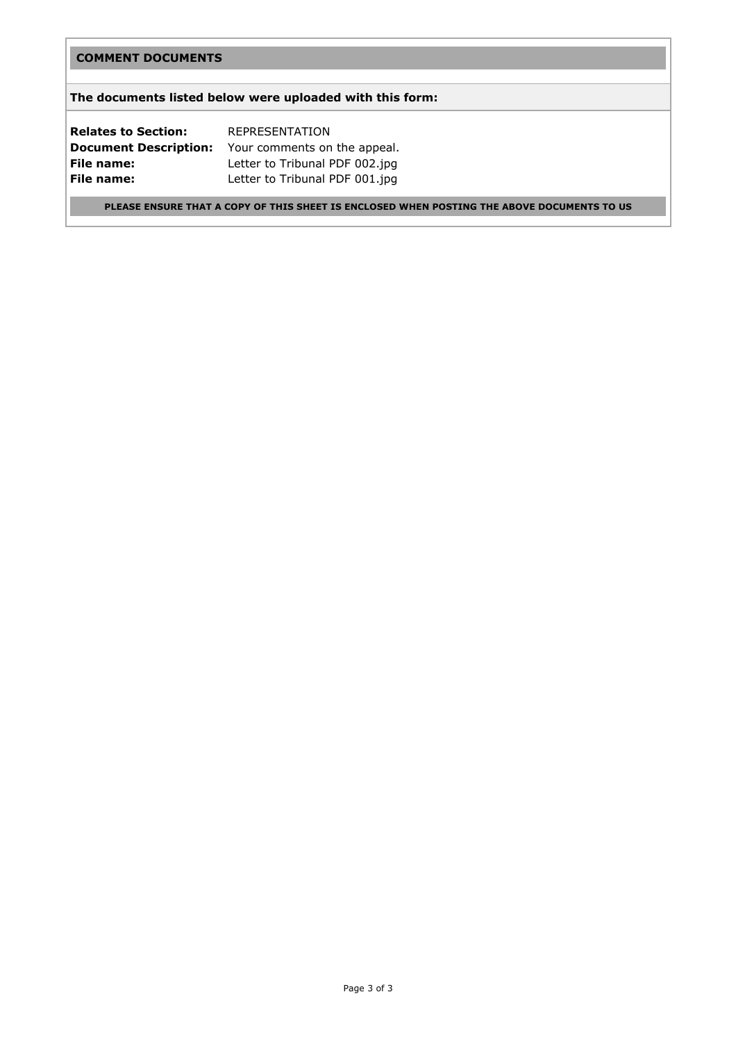#### COMMENT DOCUMENTS

#### The documents listed below were uploaded with this form:

Relates to Section: REPRESENTATION **Document Description:** Your comments on the appeal. File name: Letter to Tribunal PDF 002.jpg File name: Letter to Tribunal PDF 001.jpg

PLEASE ENSURE THAT A COPY OF THIS SHEET IS ENCLOSED WHEN POSTING THE ABOVE DOCUMENTS TO US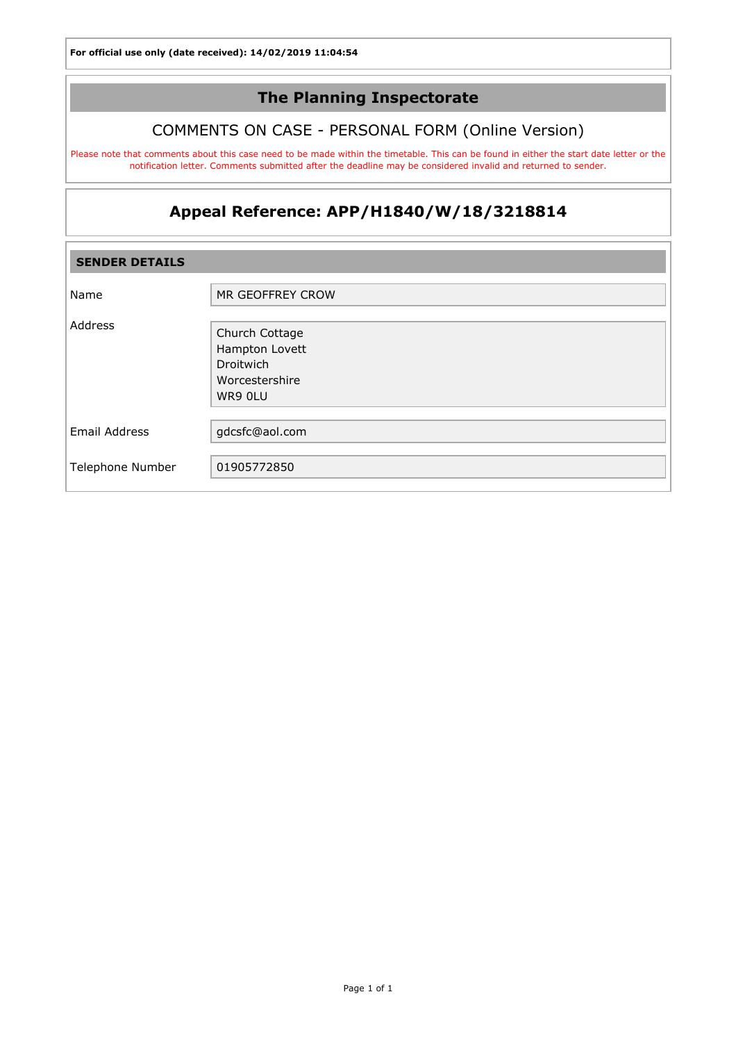## The Planning Inspectorate

## COMMENTS ON CASE - PERSONAL FORM (Online Version)

Please note that comments about this case need to be made within the timetable. This can be found in either the start date letter or the notification letter. Comments submitted after the deadline may be considered invalid and returned to sender.

# Appeal Reference: APP/H1840/W/18/3218814

| <b>SENDER DETAILS</b> |                                                                            |  |
|-----------------------|----------------------------------------------------------------------------|--|
| Name                  | MR GEOFFREY CROW                                                           |  |
| Address               | Church Cottage<br>Hampton Lovett<br>Droitwich<br>Worcestershire<br>WR9 OLU |  |
| Email Address         | gdcsfc@aol.com                                                             |  |
| Telephone Number      | 01905772850                                                                |  |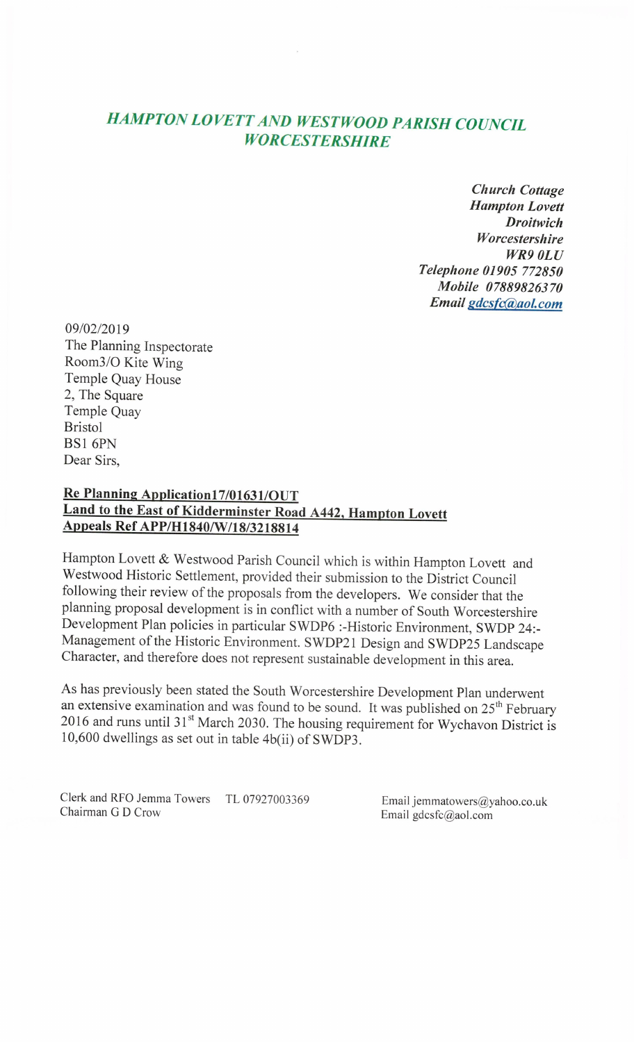# **HAMPTON LOVETT AND WESTWOOD PARISH COUNCIL WORCESTERSHIRE**

**Church Cottage Hampton Lovett Droitwich** Worcestershire **WR9 OLU** Telephone 01905 772850 Mobile 07889826370 Email gdcsfc@aol.com

09/02/2019 The Planning Inspectorate Room3/O Kite Wing Temple Quay House 2, The Square Temple Quay **Bristol** BS1 6PN Dear Sirs.

# Re Planning Application17/01631/OUT Land to the East of Kidderminster Road A442, Hampton Lovett Appeals Ref APP/H1840/W/18/3218814

Hampton Lovett & Westwood Parish Council which is within Hampton Lovett and Westwood Historic Settlement, provided their submission to the District Council following their review of the proposals from the developers. We consider that the planning proposal development is in conflict with a number of South Worcestershire Development Plan policies in particular SWDP6 :- Historic Environment, SWDP 24:-Management of the Historic Environment. SWDP21 Design and SWDP25 Landscape Character, and therefore does not represent sustainable development in this area.

As has previously been stated the South Worcestershire Development Plan underwent an extensive examination and was found to be sound. It was published on 25<sup>th</sup> February 2016 and runs until 31<sup>st</sup> March 2030. The housing requirement for Wychavon District is 10,600 dwellings as set out in table 4b(ii) of SWDP3.

Clerk and RFO Jemma Towers TL 07927003369 Chairman G D Crow

Email jemmatowers@yahoo.co.uk Email gdcsfc@aol.com